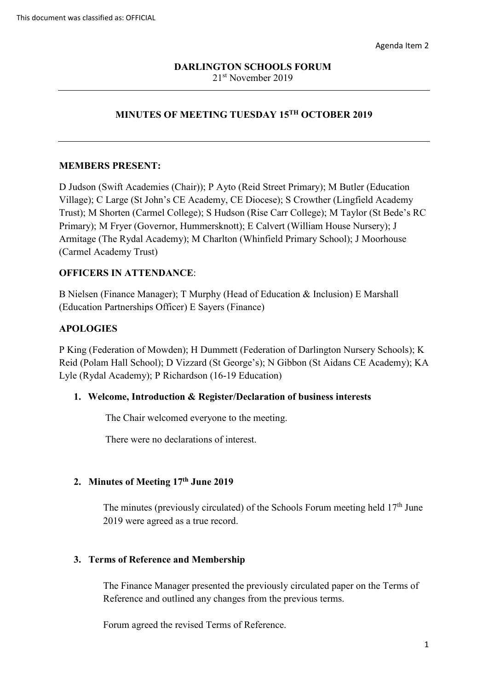# **MINUTES OF MEETING TUESDAY 15TH OCTOBER 2019**

### **MEMBERS PRESENT:**

D Judson (Swift Academies (Chair)); P Ayto (Reid Street Primary); M Butler (Education Village); C Large (St John's CE Academy, CE Diocese); S Crowther (Lingfield Academy Trust); M Shorten (Carmel College); S Hudson (Rise Carr College); M Taylor (St Bede's RC Primary); M Fryer (Governor, Hummersknott); E Calvert (William House Nursery); J Armitage (The Rydal Academy); M Charlton (Whinfield Primary School); J Moorhouse (Carmel Academy Trust)

### **OFFICERS IN ATTENDANCE**:

B Nielsen (Finance Manager); T Murphy (Head of Education & Inclusion) E Marshall (Education Partnerships Officer) E Sayers (Finance)

### **APOLOGIES**

P King (Federation of Mowden); H Dummett (Federation of Darlington Nursery Schools); K Reid (Polam Hall School); D Vizzard (St George's); N Gibbon (St Aidans CE Academy); KA Lyle (Rydal Academy); P Richardson (16-19 Education)

### **1. Welcome, Introduction & Register/Declaration of business interests**

The Chair welcomed everyone to the meeting.

There were no declarations of interest.

### **2. Minutes of Meeting 17th June 2019**

The minutes (previously circulated) of the Schools Forum meeting held  $17<sup>th</sup>$  June 2019 were agreed as a true record.

### **3. Terms of Reference and Membership**

The Finance Manager presented the previously circulated paper on the Terms of Reference and outlined any changes from the previous terms.

Forum agreed the revised Terms of Reference.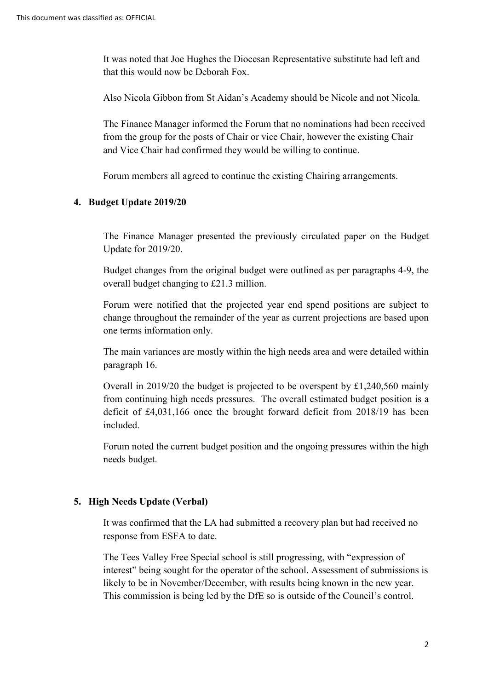It was noted that Joe Hughes the Diocesan Representative substitute had left and that this would now be Deborah Fox.

Also Nicola Gibbon from St Aidan's Academy should be Nicole and not Nicola.

The Finance Manager informed the Forum that no nominations had been received from the group for the posts of Chair or vice Chair, however the existing Chair and Vice Chair had confirmed they would be willing to continue.

Forum members all agreed to continue the existing Chairing arrangements.

### **4. Budget Update 2019/20**

The Finance Manager presented the previously circulated paper on the Budget Update for 2019/20.

Budget changes from the original budget were outlined as per paragraphs 4-9, the overall budget changing to £21.3 million.

Forum were notified that the projected year end spend positions are subject to change throughout the remainder of the year as current projections are based upon one terms information only.

The main variances are mostly within the high needs area and were detailed within paragraph 16.

Overall in 2019/20 the budget is projected to be overspent by £1,240,560 mainly from continuing high needs pressures. The overall estimated budget position is a deficit of £4,031,166 once the brought forward deficit from 2018/19 has been included.

Forum noted the current budget position and the ongoing pressures within the high needs budget.

# **5. High Needs Update (Verbal)**

It was confirmed that the LA had submitted a recovery plan but had received no response from ESFA to date.

The Tees Valley Free Special school is still progressing, with "expression of interest" being sought for the operator of the school. Assessment of submissions is likely to be in November/December, with results being known in the new year. This commission is being led by the DfE so is outside of the Council's control.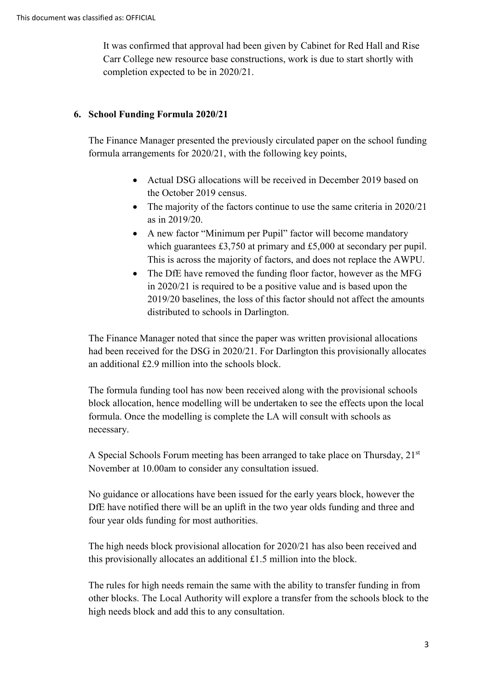It was confirmed that approval had been given by Cabinet for Red Hall and Rise Carr College new resource base constructions, work is due to start shortly with completion expected to be in 2020/21.

# **6. School Funding Formula 2020/21**

The Finance Manager presented the previously circulated paper on the school funding formula arrangements for 2020/21, with the following key points,

- Actual DSG allocations will be received in December 2019 based on the October 2019 census.
- The majority of the factors continue to use the same criteria in 2020/21 as in 2019/20.
- A new factor "Minimum per Pupil" factor will become mandatory which guarantees £3,750 at primary and £5,000 at secondary per pupil. This is across the majority of factors, and does not replace the AWPU.
- The DfE have removed the funding floor factor, however as the MFG in 2020/21 is required to be a positive value and is based upon the 2019/20 baselines, the loss of this factor should not affect the amounts distributed to schools in Darlington.

The Finance Manager noted that since the paper was written provisional allocations had been received for the DSG in 2020/21. For Darlington this provisionally allocates an additional £2.9 million into the schools block.

The formula funding tool has now been received along with the provisional schools block allocation, hence modelling will be undertaken to see the effects upon the local formula. Once the modelling is complete the LA will consult with schools as necessary.

A Special Schools Forum meeting has been arranged to take place on Thursday, 21st November at 10.00am to consider any consultation issued.

No guidance or allocations have been issued for the early years block, however the DfE have notified there will be an uplift in the two year olds funding and three and four year olds funding for most authorities.

The high needs block provisional allocation for 2020/21 has also been received and this provisionally allocates an additional £1.5 million into the block.

The rules for high needs remain the same with the ability to transfer funding in from other blocks. The Local Authority will explore a transfer from the schools block to the high needs block and add this to any consultation.